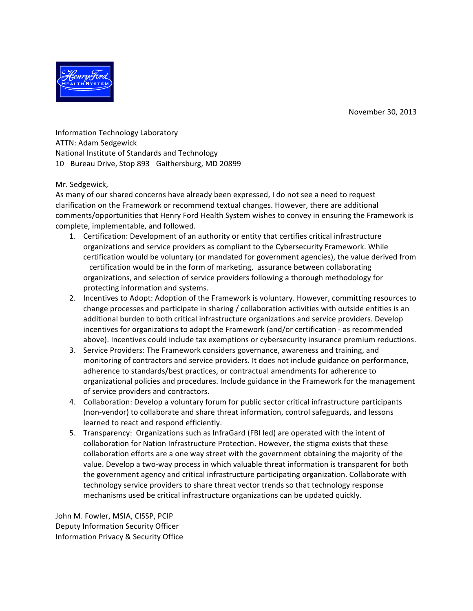November 30, 2013



Information Technology Laboratory ATTN: Adam Sedgewick National Institute of Standards and Technology 10 Bureau Drive, Stop 893 Gaithersburg, MD 20899

## Mr. Sedgewick,

As many of our shared concerns have already been expressed, I do not see a need to request clarification on the Framework or recommend textual changes. However, there are additional comments/opportunities that Henry Ford Health System wishes to convey in ensuring the Framework is complete, implementable, and followed.

- 1. Certification: Development of an authority or entity that certifies critical infrastructure organizations and service providers as compliant to the Cybersecurity Framework. While certification would be voluntary (or mandated for government agencies), the value derived from certification would be in the form of marketing, assurance between collaborating organizations, and selection of service providers following a thorough methodology for protecting information and systems.
- 2. Incentives to Adopt: Adoption of the Framework is voluntary. However, committing resources to change processes and participate in sharing / collaboration activities with outside entities is an additional burden to both critical infrastructure organizations and service providers. Develop incentives for organizations to adopt the Framework (and/or certification - as recommended above). Incentives could include tax exemptions or cybersecurity insurance premium reductions.
- 3. Service Providers: The Framework considers governance, awareness and training, and monitoring of contractors and service providers. It does not include guidance on performance, adherence to standards/best practices, or contractual amendments for adherence to organizational policies and procedures. Include guidance in the Framework for the management of service providers and contractors.
- 4. Collaboration: Develop a voluntary forum for public sector critical infrastructure participants (non-vendor) to collaborate and share threat information, control safeguards, and lessons learned to react and respond efficiently.
- 5. Transparency: Organizations such as InfraGard (FBI led) are operated with the intent of collaboration for Nation Infrastructure Protection. However, the stigma exists that these collaboration efforts are a one way street with the government obtaining the majority of the value. Develop a two-way process in which valuable threat information is transparent for both the government agency and critical infrastructure participating organization. Collaborate with technology service providers to share threat vector trends so that technology response mechanisms used be critical infrastructure organizations can be updated quickly.

John M. Fowler, MSIA, CISSP, PCIP Deputy Information Security Officer Information Privacy & Security Office